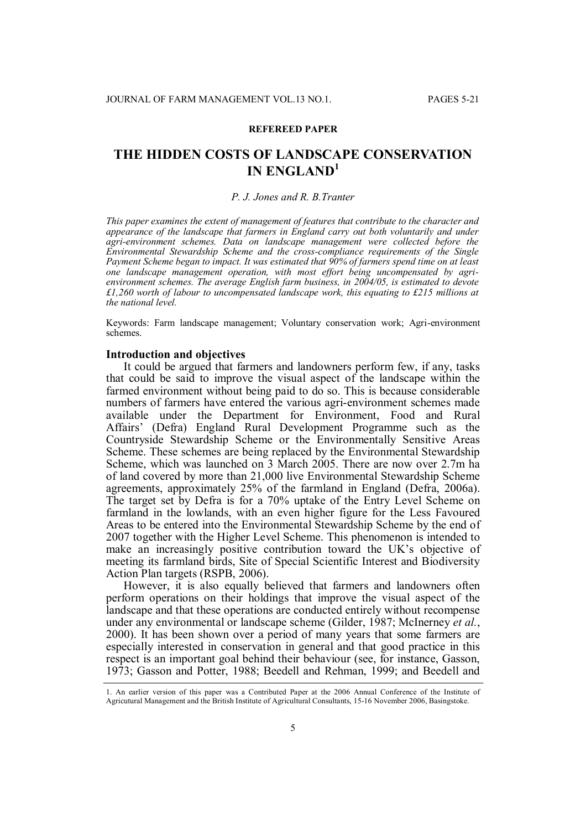#### **REFEREED PAPER**

# **THE HIDDEN COSTS OF LANDSCAPE CONSERVATION IN ENGLAND<sup>1</sup>**

#### *P. J. Jones and R. B.Tranter*

*This paper examines the extent of management of features that contribute to the character and appearance of the landscape that farmers in England carry out both voluntarily and under agri-environment schemes. Data on landscape management were collected before the Environmental Stewardship Scheme and the cross-compliance requirements of the Single Payment Scheme began to impact. It was estimated that 90% of farmers spend time on at least one landscape management operation, with most effort being uncompensated by agrienvironment schemes. The average English farm business, in 2004/05, is estimated to devote £1,260 worth of labour to uncompensated landscape work, this equating to £215 millions at the national level.*

Keywords: Farm landscape management; Voluntary conservation work; Agri-environment schemes.

## **Introduction and objectives**

It could be argued that farmers and landowners perform few, if any, tasks that could be said to improve the visual aspect of the landscape within the farmed environment without being paid to do so. This is because considerable numbers of farmers have entered the various agri-environment schemes made available under the Department for Environment, Food and Rural Affairs' (Defra) England Rural Development Programme such as the Countryside Stewardship Scheme or the Environmentally Sensitive Areas Scheme. These schemes are being replaced by the Environmental Stewardship Scheme, which was launched on 3 March 2005. There are now over 2.7m ha of land covered by more than 21,000 live Environmental Stewardship Scheme agreements, approximately 25% of the farmland in England (Defra, 2006a). The target set by Defra is for a 70% uptake of the Entry Level Scheme on farmland in the lowlands, with an even higher figure for the Less Favoured Areas to be entered into the Environmental Stewardship Scheme by the end of 2007 together with the Higher Level Scheme. This phenomenon is intended to make an increasingly positive contribution toward the UK's objective of meeting its farmland birds, Site of Special Scientific Interest and Biodiversity Action Plan targets (RSPB, 2006).

However, it is also equally believed that farmers and landowners often perform operations on their holdings that improve the visual aspect of the landscape and that these operations are conducted entirely without recompense under any environmental or landscape scheme (Gilder, 1987; McInerney *et al.*, 2000). It has been shown over a period of many years that some farmers are especially interested in conservation in general and that good practice in this respect is an important goal behind their behaviour (see, for instance, Gasson, 1973; Gasson and Potter, 1988; Beedell and Rehman, 1999; and Beedell and

<sup>1.</sup> An earlier version of this paper was a Contributed Paper at the 2006 Annual Conference of the Institute of Agricutural Management and the British Institute of Agricultural Consultants, 15-16 November 2006, Basingstoke.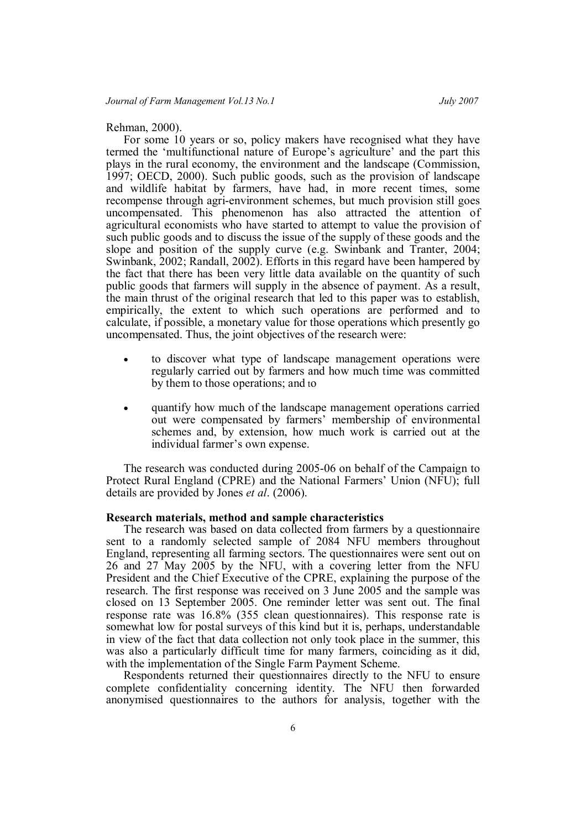## Rehman, 2000).

For some 10 years or so, policy makers have recognised what they have termed the 'multifunctional nature of Europe's agriculture' and the part this plays in the rural economy, the environment and the landscape (Commission, 1997; OECD, 2000). Such public goods, such as the provision of landscape and wildlife habitat by farmers, have had, in more recent times, some recompense through agri-environment schemes, but much provision still goes uncompensated. This phenomenon has also attracted the attention of agricultural economists who have started to attempt to value the provision of such public goods and to discuss the issue of the supply of these goods and the slope and position of the supply curve (e.g. Swinbank and Tranter, 2004; Swinbank, 2002; Randall, 2002). Efforts in this regard have been hampered by the fact that there has been very little data available on the quantity of such public goods that farmers will supply in the absence of payment. As a result, the main thrust of the original research that led to this paper was to establish, empirically, the extent to which such operations are performed and to calculate, if possible, a monetary value for those operations which presently go uncompensated. Thus, the joint objectives of the research were:

- to discover what type of landscape management operations were regularly carried out by farmers and how much time was committed by them to those operations; and to
- quantify how much of the landscape management operations carried out were compensated by farmers' membership of environmental schemes and, by extension, how much work is carried out at the individual farmer's own expense.

The research was conducted during 2005-06 on behalf of the Campaign to Protect Rural England (CPRE) and the National Farmers' Union (NFU); full details are provided by Jones *et al*. (2006).

#### **Research materials, method and sample characteristics**

The research was based on data collected from farmers by a questionnaire sent to a randomly selected sample of 2084 NFU members throughout England, representing all farming sectors. The questionnaires were sent out on 26 and 27 May 2005 by the NFU, with a covering letter from the NFU President and the Chief Executive of the CPRE, explaining the purpose of the research. The first response was received on 3 June 2005 and the sample was closed on 13 September 2005. One reminder letter was sent out. The final response rate was 16.8% (355 clean questionnaires). This response rate is somewhat low for postal surveys of this kind but it is, perhaps, understandable in view of the fact that data collection not only took place in the summer, this was also a particularly difficult time for many farmers, coinciding as it did, with the implementation of the Single Farm Payment Scheme.

Respondents returned their questionnaires directly to the NFU to ensure complete confidentiality concerning identity. The NFU then forwarded anonymised questionnaires to the authors for analysis, together with the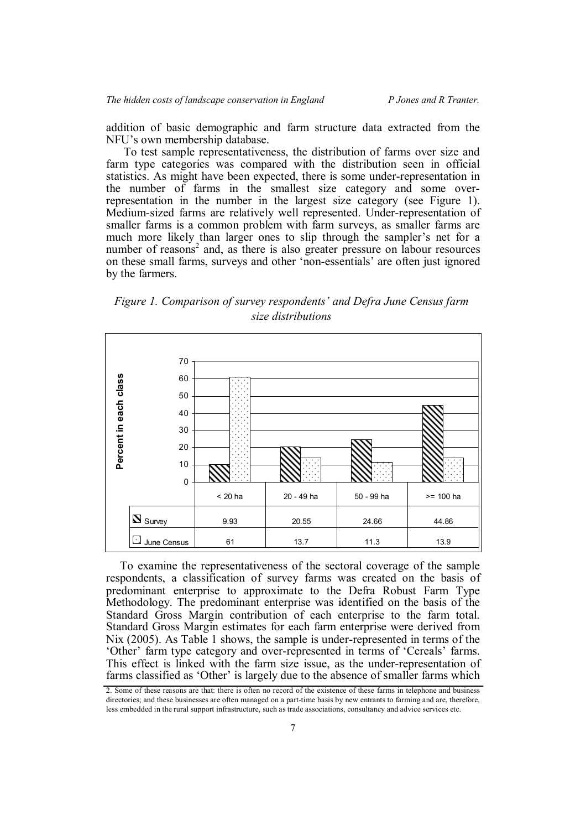addition of basic demographic and farm structure data extracted from the NFU's own membership database.

To test sample representativeness, the distribution of farms over size and farm type categories was compared with the distribution seen in official statistics. As might have been expected, there is some under-representation in the number of farms in the smallest size category and some overrepresentation in the number in the largest size category (see Figure 1). Medium-sized farms are relatively well represented. Under-representation of smaller farms is a common problem with farm surveys, as smaller farms are much more likely than larger ones to slip through the sampler's net for a number of reasons<sup>2</sup> and, as there is also greater pressure on labour resources on these small farms, surveys and other 'non-essentials' are often just ignored by the farmers.

*Figure 1. Comparison of survey respondents' and Defra June Census farm size distributions*



To examine the representativeness of the sectoral coverage of the sample respondents, a classification of survey farms was created on the basis of predominant enterprise to approximate to the Defra Robust Farm Type Methodology. The predominant enterprise was identified on the basis of the Standard Gross Margin contribution of each enterprise to the farm total. Standard Gross Margin estimates for each farm enterprise were derived from Nix (2005). As Table 1 shows, the sample is under-represented in terms of the 'Other' farm type category and over-represented in terms of 'Cereals' farms. This effect is linked with the farm size issue, as the under-representation of farms classified as 'Other' is largely due to the absence of smaller farms which

<sup>2.</sup> Some of these reasons are that: there is often no record of the existence of these farms in telephone and business directories; and these businesses are often managed on a part-time basis by new entrants to farming and are, therefore, less embedded in the rural support infrastructure, such as trade associations, consultancy and advice services etc.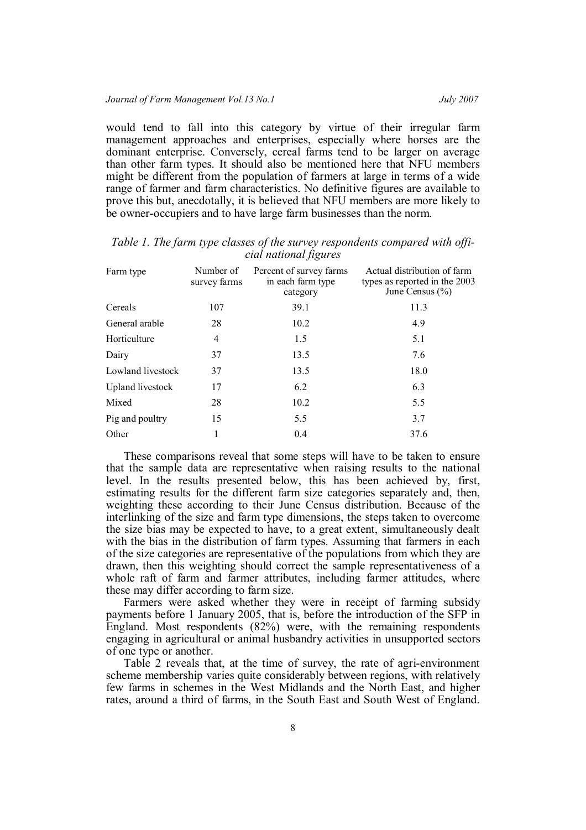would tend to fall into this category by virtue of their irregular farm management approaches and enterprises, especially where horses are the dominant enterprise. Conversely, cereal farms tend to be larger on average than other farm types. It should also be mentioned here that NFU members might be different from the population of farmers at large in terms of a wide range of farmer and farm characteristics. No definitive figures are available to prove this but, anecdotally, it is believed that NFU members are more likely to be owner-occupiers and to have large farm businesses than the norm.

| Farm type         | Number of<br>survey farms | Percent of survey farms<br>in each farm type<br>category | Actual distribution of farm<br>types as reported in the 2003<br>June Census $(\% )$ |
|-------------------|---------------------------|----------------------------------------------------------|-------------------------------------------------------------------------------------|
| Cereals           | 107                       | 39.1                                                     | 11.3                                                                                |
| General arable    | 28                        | 10.2                                                     | 4.9                                                                                 |
| Horticulture      | 4                         | 1.5                                                      | 5.1                                                                                 |
| Dairy             | 37                        | 13.5                                                     | 7.6                                                                                 |
| Lowland livestock | 37                        | 13.5                                                     | 18.0                                                                                |
| Upland livestock  | 17                        | 6.2                                                      | 6.3                                                                                 |
| Mixed             | 28                        | 10.2                                                     | 5.5                                                                                 |
| Pig and poultry   | 15                        | 5.5                                                      | 3.7                                                                                 |
| Other             | 1                         | 0.4                                                      | 37.6                                                                                |

*Table 1. The farm type classes of the survey respondents compared with official national figures*

These comparisons reveal that some steps will have to be taken to ensure that the sample data are representative when raising results to the national level. In the results presented below, this has been achieved by, first, estimating results for the different farm size categories separately and, then, weighting these according to their June Census distribution. Because of the interlinking of the size and farm type dimensions, the steps taken to overcome the size bias may be expected to have, to a great extent, simultaneously dealt with the bias in the distribution of farm types. Assuming that farmers in each of the size categories are representative of the populations from which they are drawn, then this weighting should correct the sample representativeness of a whole raft of farm and farmer attributes, including farmer attitudes, where these may differ according to farm size.

Farmers were asked whether they were in receipt of farming subsidy payments before 1 January 2005, that is, before the introduction of the SFP in England. Most respondents (82%) were, with the remaining respondents engaging in agricultural or animal husbandry activities in unsupported sectors of one type or another.

Table 2 reveals that, at the time of survey, the rate of agri-environment scheme membership varies quite considerably between regions, with relatively few farms in schemes in the West Midlands and the North East, and higher rates, around a third of farms, in the South East and South West of England.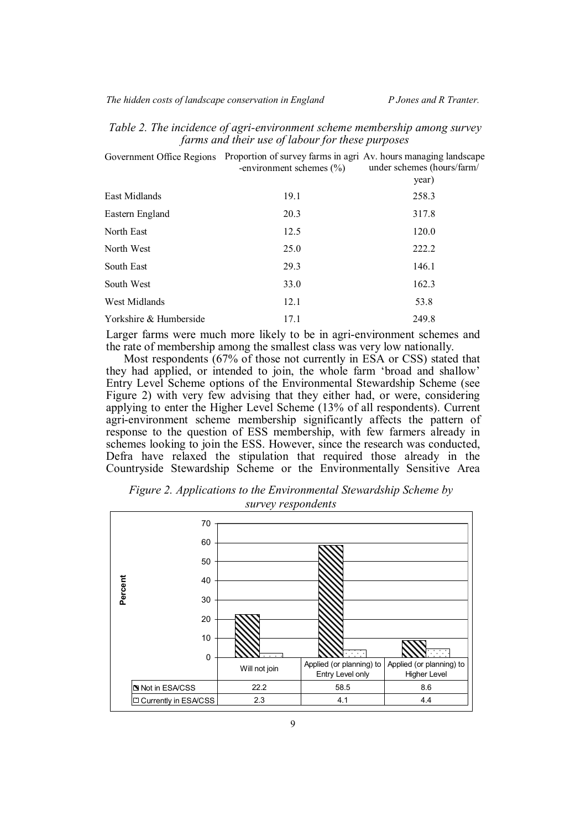|  |                                                  |  | Table 2. The incidence of agri-environment scheme membership among survey |
|--|--------------------------------------------------|--|---------------------------------------------------------------------------|
|  | farms and their use of labour for these purposes |  |                                                                           |

| Government Office Regions | Proportion of survey farms in agri Av. hours managing landscape<br>-environment schemes $(\% )$ | under schemes (hours/farm/<br>year) |
|---------------------------|-------------------------------------------------------------------------------------------------|-------------------------------------|
| East Midlands             | 19.1                                                                                            | 258.3                               |
| Eastern England           | 20.3                                                                                            | 317.8                               |
| North East                | 12.5                                                                                            | 120.0                               |
| North West                | 25.0                                                                                            | 222.2                               |
| South East                | 29.3                                                                                            | 146.1                               |
| South West                | 33.0                                                                                            | 162.3                               |
| West Midlands             | 12.1                                                                                            | 53.8                                |
| Yorkshire & Humberside    | 17.1                                                                                            | 249.8                               |

Larger farms were much more likely to be in agri-environment schemes and the rate of membership among the smallest class was very low nationally.

Most respondents (67% of those not currently in ESA or CSS) stated that they had applied, or intended to join, the whole farm 'broad and shallow' Entry Level Scheme options of the Environmental Stewardship Scheme (see Figure 2) with very few advising that they either had, or were, considering applying to enter the Higher Level Scheme (13% of all respondents). Current agri-environment scheme membership significantly affects the pattern of response to the question of ESS membership, with few farmers already in schemes looking to join the ESS. However, since the research was conducted, Defra have relaxed the stipulation that required those already in the Countryside Stewardship Scheme or the Environmentally Sensitive Area



*Figure 2. Applications to the Environmental Stewardship Scheme by survey respondents*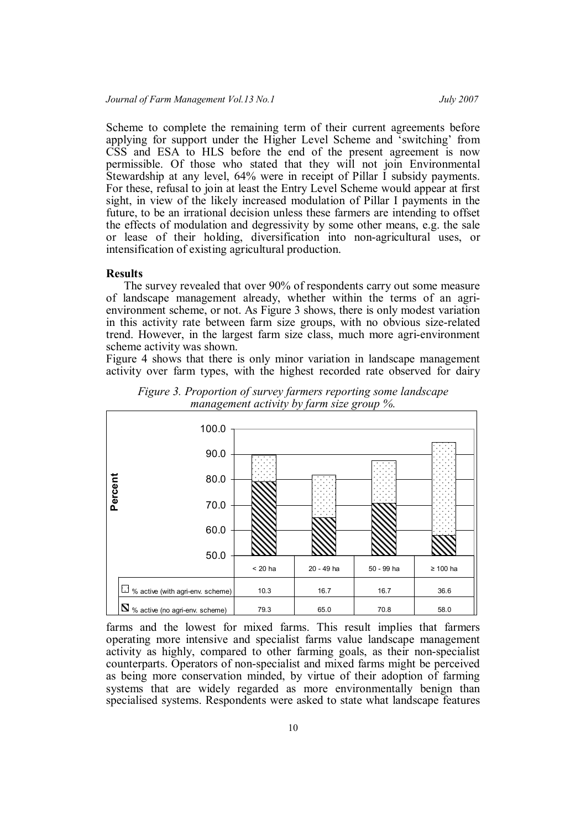Scheme to complete the remaining term of their current agreements before applying for support under the Higher Level Scheme and 'switching' from CSS and ESA to HLS before the end of the present agreement is now permissible. Of those who stated that they will not join Environmental Stewardship at any level, 64% were in receipt of Pillar I subsidy payments. For these, refusal to join at least the Entry Level Scheme would appear at first sight, in view of the likely increased modulation of Pillar I payments in the future, to be an irrational decision unless these farmers are intending to offset the effects of modulation and degressivity by some other means, e.g. the sale or lease of their holding, diversification into non-agricultural uses, or intensification of existing agricultural production.

## **Results**

The survey revealed that over 90% of respondents carry out some measure of landscape management already, whether within the terms of an agrienvironment scheme, or not. As Figure 3 shows, there is only modest variation in this activity rate between farm size groups, with no obvious size-related trend. However, in the largest farm size class, much more agri-environment scheme activity was shown.

Figure 4 shows that there is only minor variation in landscape management activity over farm types, with the highest recorded rate observed for dairy



*Figure 3. Proportion of survey farmers reporting some landscape management activity by farm size group %.*

farms and the lowest for mixed farms. This result implies that farmers operating more intensive and specialist farms value landscape management activity as highly, compared to other farming goals, as their non-specialist counterparts. Operators of non-specialist and mixed farms might be perceived as being more conservation minded, by virtue of their adoption of farming systems that are widely regarded as more environmentally benign than specialised systems. Respondents were asked to state what landscape features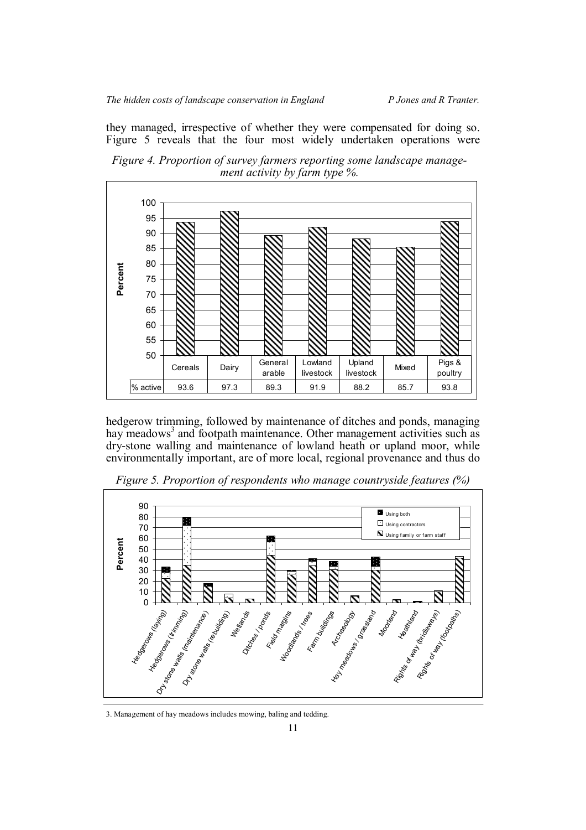*The hidden costs of landscape conservation in England* P Jones and R Tranter.

they managed, irrespective of whether they were compensated for doing so. Figure 5 reveals that the four most widely undertaken operations were

*Figure 4. Proportion of survey farmers reporting some landscape management activity by farm type %.*



hedgerow trimming, followed by maintenance of ditches and ponds, managing hay meadows<sup>3</sup> and footpath maintenance. Other management activities such as dry-stone walling and maintenance of lowland heath or upland moor, while environmentally important, are of more local, regional provenance and thus do



*Figure 5. Proportion of respondents who manage countryside features (%)*

3. Management of hay meadows includes mowing, baling and tedding.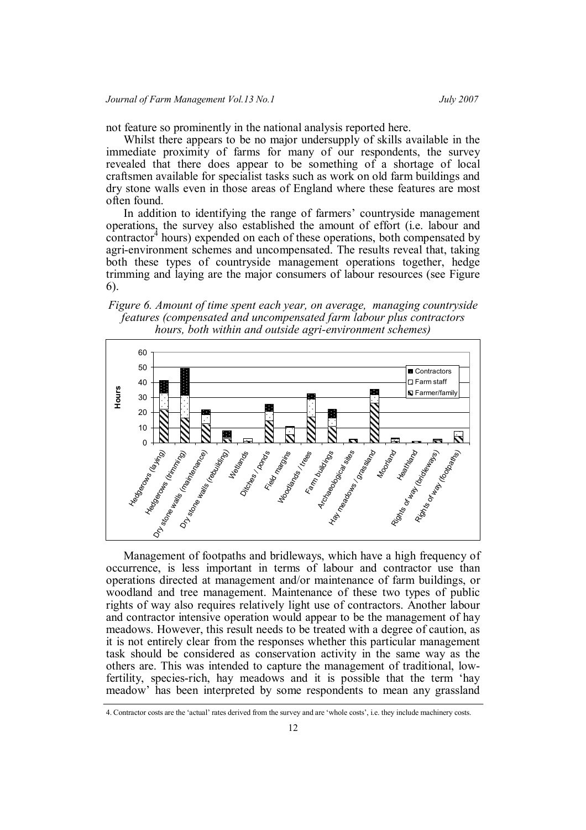not feature so prominently in the national analysis reported here.

Whilst there appears to be no major undersupply of skills available in the immediate proximity of farms for many of our respondents, the survey revealed that there does appear to be something of a shortage of local craftsmen available for specialist tasks such as work on old farm buildings and dry stone walls even in those areas of England where these features are most often found.

In addition to identifying the range of farmers' countryside management operations, the survey also established the amount of effort (i.e. labour and contractor<sup>4</sup> hours) expended on each of these operations, both compensated by agri-environment schemes and uncompensated. The results reveal that, taking both these types of countryside management operations together, hedge trimming and laying are the major consumers of labour resources (see Figure 6).

*Figure 6. Amount of time spent each year, on average, managing countryside features (compensated and uncompensated farm labour plus contractors hours, both within and outside agri-environment schemes)*



Management of footpaths and bridleways, which have a high frequency of occurrence, is less important in terms of labour and contractor use than operations directed at management and/or maintenance of farm buildings, or woodland and tree management. Maintenance of these two types of public rights of way also requires relatively light use of contractors. Another labour and contractor intensive operation would appear to be the management of hay meadows. However, this result needs to be treated with a degree of caution, as it is not entirely clear from the responses whether this particular management task should be considered as conservation activity in the same way as the others are. This was intended to capture the management of traditional, lowfertility, species-rich, hay meadows and it is possible that the term 'hay meadow' has been interpreted by some respondents to mean any grassland

<sup>4.</sup> Contractor costs are the 'actual' rates derived from the survey and are 'whole costs', i.e. they include machinery costs.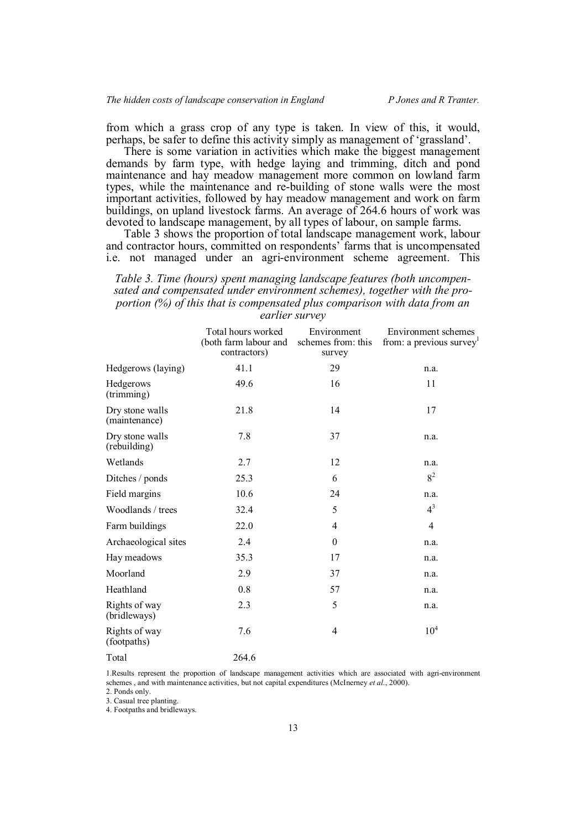from which a grass crop of any type is taken. In view of this, it would, perhaps, be safer to define this activity simply as management of 'grassland'.

There is some variation in activities which make the biggest management demands by farm type, with hedge laying and trimming, ditch and pond maintenance and hay meadow management more common on lowland farm types, while the maintenance and re-building of stone walls were the most important activities, followed by hay meadow management and work on farm buildings, on upland livestock farms. An average of 264.6 hours of work was devoted to landscape management, by all types of labour, on sample farms.

Table 3 shows the proportion of total landscape management work, labour and contractor hours, committed on respondents' farms that is uncompensated i.e. not managed under an agri-environment scheme agreement. This

## *Table 3. Time (hours) spent managing landscape features (both uncompensated and compensated under environment schemes), together with the proportion (%) of this that is compensated plus comparison with data from an earlier survey*

|                                  | Total hours worked<br>(both farm labour and<br>contractors) | Environment<br>schemes from: this<br>survey | Environment schemes<br>from: a previous survey |
|----------------------------------|-------------------------------------------------------------|---------------------------------------------|------------------------------------------------|
| Hedgerows (laying)               | 41.1                                                        | 29                                          | n.a.                                           |
| Hedgerows<br>$(\text{trimming})$ | 49.6                                                        | 16                                          | 11                                             |
| Dry stone walls<br>(maintenance) | 21.8                                                        | 14                                          | 17                                             |
| Dry stone walls<br>(rebuilding)  | 7.8                                                         | 37                                          | n.a.                                           |
| Wetlands                         | 2.7                                                         | 12                                          | n.a.                                           |
| Ditches / ponds                  | 25.3                                                        | 6                                           | $8^2$                                          |
| Field margins                    | 10.6                                                        | 24                                          | n.a.                                           |
| Woodlands / trees                | 32.4                                                        | 5                                           | $4^3$                                          |
| Farm buildings                   | 22.0                                                        | 4                                           | 4                                              |
| Archaeological sites             | 2.4                                                         | $\boldsymbol{0}$                            | n.a.                                           |
| Hay meadows                      | 35.3                                                        | 17                                          | n.a.                                           |
| Moorland                         | 2.9                                                         | 37                                          | n.a.                                           |
| Heathland                        | 0.8                                                         | 57                                          | n.a.                                           |
| Rights of way<br>(bridleways)    | 2.3                                                         | 5                                           | n.a.                                           |
| Rights of way<br>(footpaths)     | 7.6                                                         | 4                                           | 10 <sup>4</sup>                                |
| Total                            | 264.6                                                       |                                             |                                                |

1.Results represent the proportion of landscape management activities which are associated with agri-environment schemes , and with maintenance activities, but not capital expenditures (McInerney *et al.*, 2000).

2. Ponds only.

3. Casual tree planting.

4. Footpaths and bridleways.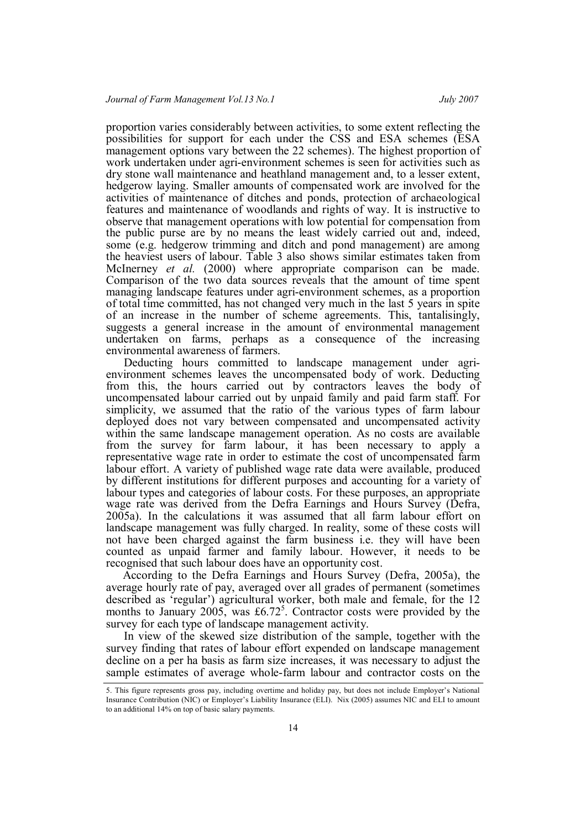proportion varies considerably between activities, to some extent reflecting the possibilities for support for each under the CSS and ESA schemes (ESA management options vary between the 22 schemes). The highest proportion of work undertaken under agri-environment schemes is seen for activities such as dry stone wall maintenance and heathland management and, to a lesser extent, hedgerow laying. Smaller amounts of compensated work are involved for the activities of maintenance of ditches and ponds, protection of archaeological features and maintenance of woodlands and rights of way. It is instructive to observe that management operations with low potential for compensation from the public purse are by no means the least widely carried out and, indeed, some (e.g. hedgerow trimming and ditch and pond management) are among the heaviest users of labour. Table 3 also shows similar estimates taken from McInerney *et al.* (2000) where appropriate comparison can be made. Comparison of the two data sources reveals that the amount of time spent managing landscape features under agri-environment schemes, as a proportion of total time committed, has not changed very much in the last 5 years in spite of an increase in the number of scheme agreements. This, tantalisingly, suggests a general increase in the amount of environmental management undertaken on farms, perhaps as a consequence of the increasing environmental awareness of farmers.

Deducting hours committed to landscape management under agrienvironment schemes leaves the uncompensated body of work. Deducting from this, the hours carried out by contractors leaves the body of uncompensated labour carried out by unpaid family and paid farm staff. For simplicity, we assumed that the ratio of the various types of farm labour deployed does not vary between compensated and uncompensated activity within the same landscape management operation. As no costs are available from the survey for farm labour, it has been necessary to apply a representative wage rate in order to estimate the cost of uncompensated farm labour effort. A variety of published wage rate data were available, produced by different institutions for different purposes and accounting for a variety of labour types and categories of labour costs. For these purposes, an appropriate wage rate was derived from the Defra Earnings and Hours Survey (Defra, 2005a). In the calculations it was assumed that all farm labour effort on landscape management was fully charged. In reality, some of these costs will not have been charged against the farm business i.e. they will have been counted as unpaid farmer and family labour. However, it needs to be recognised that such labour does have an opportunity cost.

According to the Defra Earnings and Hours Survey (Defra, 2005a), the average hourly rate of pay, averaged over all grades of permanent (sometimes described as 'regular') agricultural worker, both male and female, for the 12 months to January 2005, was £6.72<sup>5</sup>. Contractor costs were provided by the survey for each type of landscape management activity.

In view of the skewed size distribution of the sample, together with the survey finding that rates of labour effort expended on landscape management decline on a per ha basis as farm size increases, it was necessary to adjust the sample estimates of average whole-farm labour and contractor costs on the

<sup>5.</sup> This figure represents gross pay, including overtime and holiday pay, but does not include Employer's National Insurance Contribution (NIC) or Employer's Liability Insurance (ELI). Nix (2005) assumes NIC and ELI to amount to an additional 14% on top of basic salary payments.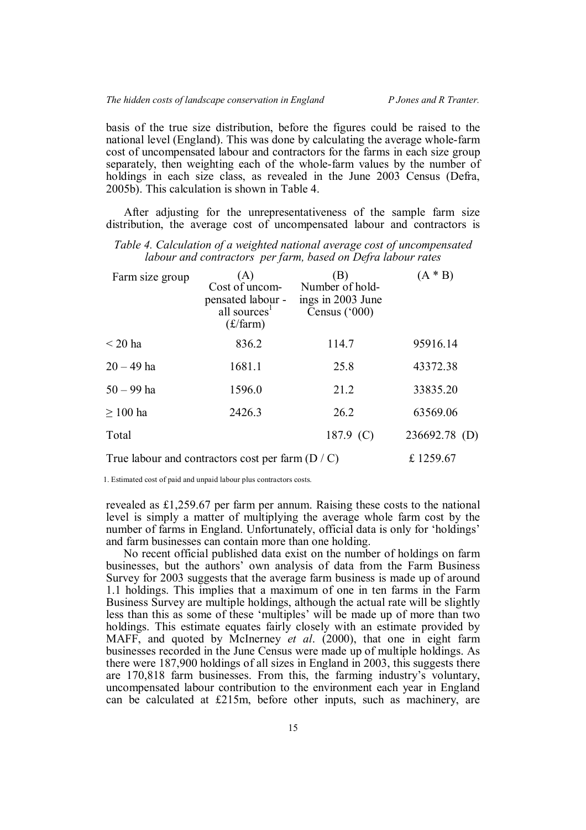basis of the true size distribution, before the figures could be raised to the national level (England). This was done by calculating the average whole-farm cost of uncompensated labour and contractors for the farms in each size group separately, then weighting each of the whole-farm values by the number of holdings in each size class, as revealed in the June 2003 Census (Defra, 2005b). This calculation is shown in Table 4.

After adjusting for the unrepresentativeness of the sample farm size distribution, the average cost of uncompensated labour and contractors is

| Farm size group | (A)<br>Cost of uncom-<br>pensated labour -<br>all sources <sup>1</sup><br>$(f/\text{farm})$ | (B)<br>Number of hold-<br>ings in 2003 June<br>Census ('000) | $(A * B)$     |  |
|-----------------|---------------------------------------------------------------------------------------------|--------------------------------------------------------------|---------------|--|
| $\leq$ 20 ha    | 836.2                                                                                       | 114.7                                                        | 95916.14      |  |
| $20 - 49$ ha    | 1681.1                                                                                      | 25.8                                                         | 43372.38      |  |
| $50 - 99$ ha    | 1596.0                                                                                      | 21.2                                                         | 33835.20      |  |
| $\geq 100$ ha   | 2426.3                                                                                      | 26.2                                                         | 63569.06      |  |
| Total           |                                                                                             | 187.9 $(C)$                                                  | 236692.78 (D) |  |
|                 |                                                                                             |                                                              |               |  |

*Table 4. Calculation of a weighted national average cost of uncompensated labour and contractors per farm, based on Defra labour rates*

1. Estimated cost of paid and unpaid labour plus contractors costs.

revealed as £1,259.67 per farm per annum. Raising these costs to the national level is simply a matter of multiplying the average whole farm cost by the number of farms in England. Unfortunately, official data is only for 'holdings' and farm businesses can contain more than one holding.

True labour and contractors cost per farm  $(D / C)$   $\qquad \qquad$  £ 1259.67

No recent official published data exist on the number of holdings on farm businesses, but the authors' own analysis of data from the Farm Business Survey for 2003 suggests that the average farm business is made up of around 1.1 holdings. This implies that a maximum of one in ten farms in the Farm Business Survey are multiple holdings, although the actual rate will be slightly less than this as some of these 'multiples' will be made up of more than two holdings. This estimate equates fairly closely with an estimate provided by MAFF, and quoted by McInerney *et al*. (2000), that one in eight farm businesses recorded in the June Census were made up of multiple holdings. As there were 187,900 holdings of all sizes in England in 2003, this suggests there are 170,818 farm businesses. From this, the farming industry's voluntary, uncompensated labour contribution to the environment each year in England can be calculated at £215m, before other inputs, such as machinery, are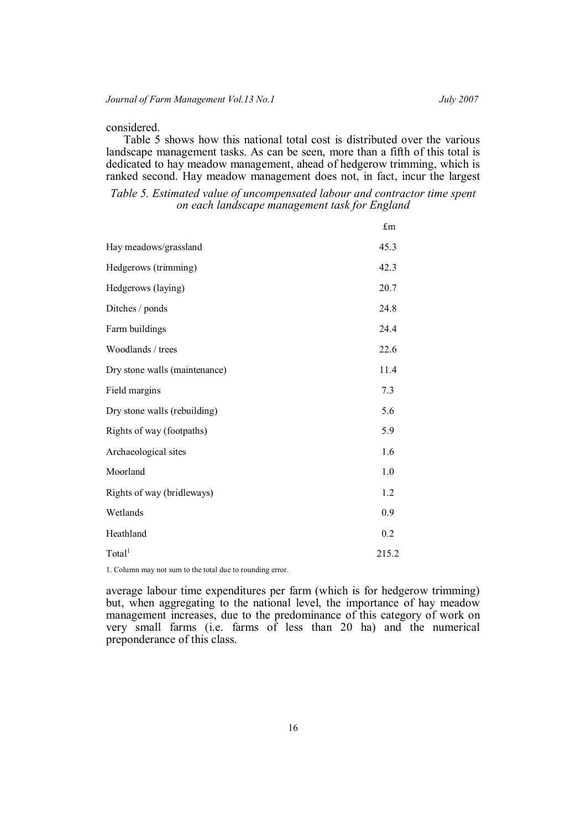## considered.

Table 5 shows how this national total cost is distributed over the various landscape management tasks. As can be seen, more than a fifth of this total is dedicated to hay meadow management, ahead of hedgerow trimming, which is ranked second. Hay meadow management does not, in fact, incur the largest

*Table 5. Estimated value of uncompensated labour and contractor time spent on each landscape management task for England*

|                               | $\pounds$ m |
|-------------------------------|-------------|
| Hay meadows/grassland         | 45.3        |
| Hedgerows (trimming)          | 42.3        |
| Hedgerows (laying)            | 20.7        |
| Ditches / ponds               | 24.8        |
| Farm buildings                | 24.4        |
| Woodlands / trees             | 22.6        |
| Dry stone walls (maintenance) | 11.4        |
| Field margins                 | 7.3         |
| Dry stone walls (rebuilding)  | 5.6         |
| Rights of way (footpaths)     | 5.9         |
| Archaeological sites          | 1.6         |
| Moorland                      | 1.0         |
| Rights of way (bridleways)    | 1.2         |
| Wetlands                      | 0.9         |
| Heathland                     | 0.2         |
| Total <sup>1</sup>            | 215.2       |

1. Column may not sum to the total due to rounding error.

average labour time expenditures per farm (which is for hedgerow trimming) but, when aggregating to the national level, the importance of hay meadow management increases, due to the predominance of this category of work on very small farms (i.e. farms of less than 20 ha) and the numerical preponderance of this class.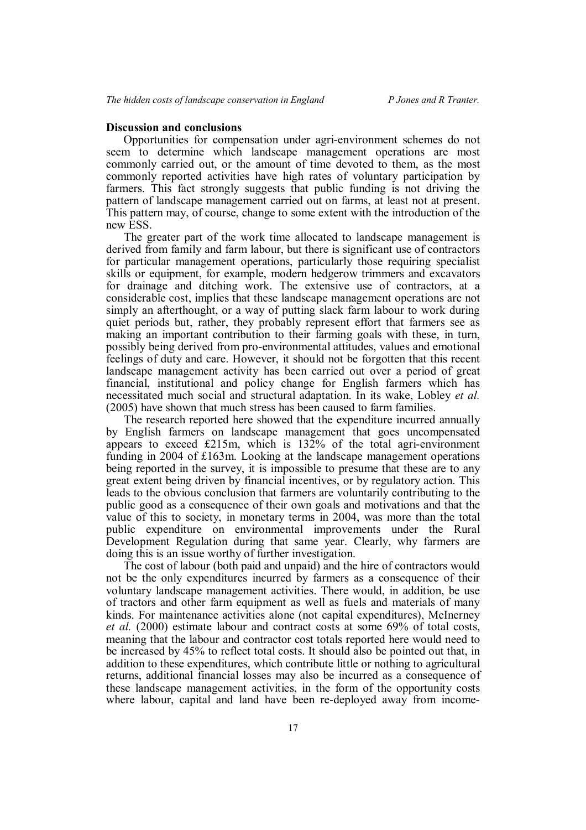## **Discussion and conclusions**

Opportunities for compensation under agri-environment schemes do not seem to determine which landscape management operations are most commonly carried out, or the amount of time devoted to them, as the most commonly reported activities have high rates of voluntary participation by farmers. This fact strongly suggests that public funding is not driving the pattern of landscape management carried out on farms, at least not at present. This pattern may, of course, change to some extent with the introduction of the new ESS.

The greater part of the work time allocated to landscape management is derived from family and farm labour, but there is significant use of contractors for particular management operations, particularly those requiring specialist skills or equipment, for example, modern hedgerow trimmers and excavators for drainage and ditching work. The extensive use of contractors, at a considerable cost, implies that these landscape management operations are not simply an afterthought, or a way of putting slack farm labour to work during quiet periods but, rather, they probably represent effort that farmers see as making an important contribution to their farming goals with these, in turn, possibly being derived from pro-environmental attitudes, values and emotional feelings of duty and care. However, it should not be forgotten that this recent landscape management activity has been carried out over a period of great financial, institutional and policy change for English farmers which has necessitated much social and structural adaptation. In its wake, Lobley *et al.* (2005) have shown that much stress has been caused to farm families.

The research reported here showed that the expenditure incurred annually by English farmers on landscape management that goes uncompensated appears to exceed £215m, which is 132% of the total agri-environment funding in 2004 of £163m. Looking at the landscape management operations being reported in the survey, it is impossible to presume that these are to any great extent being driven by financial incentives, or by regulatory action. This leads to the obvious conclusion that farmers are voluntarily contributing to the public good as a consequence of their own goals and motivations and that the value of this to society, in monetary terms in 2004, was more than the total public expenditure on environmental improvements under the Rural Development Regulation during that same year. Clearly, why farmers are doing this is an issue worthy of further investigation.

The cost of labour (both paid and unpaid) and the hire of contractors would not be the only expenditures incurred by farmers as a consequence of their voluntary landscape management activities. There would, in addition, be use of tractors and other farm equipment as well as fuels and materials of many kinds. For maintenance activities alone (not capital expenditures), McInerney *et al.* (2000) estimate labour and contract costs at some 69% of total costs, meaning that the labour and contractor cost totals reported here would need to be increased by 45% to reflect total costs. It should also be pointed out that, in addition to these expenditures, which contribute little or nothing to agricultural returns, additional financial losses may also be incurred as a consequence of these landscape management activities, in the form of the opportunity costs where labour, capital and land have been re-deployed away from income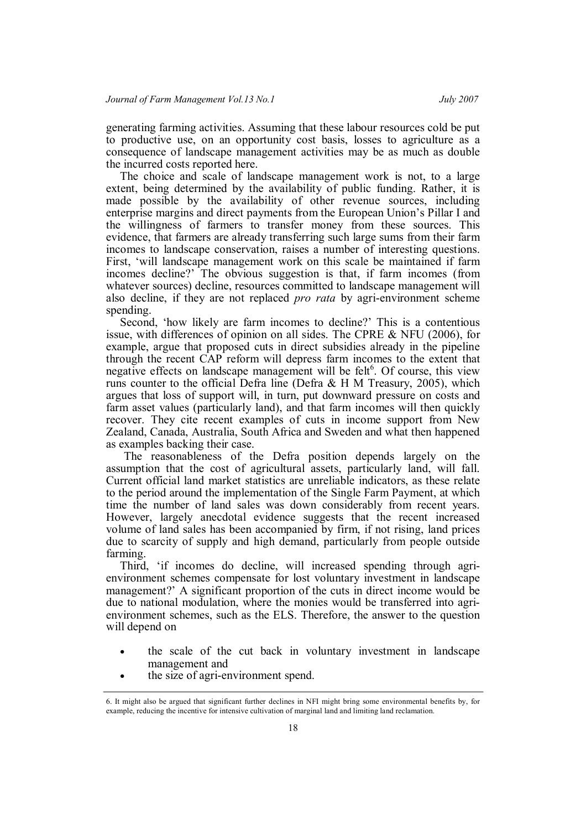generating farming activities. Assuming that these labour resources cold be put to productive use, on an opportunity cost basis, losses to agriculture as a consequence of landscape management activities may be as much as double the incurred costs reported here.

The choice and scale of landscape management work is not, to a large extent, being determined by the availability of public funding. Rather, it is made possible by the availability of other revenue sources, including enterprise margins and direct payments from the European Union's Pillar I and the willingness of farmers to transfer money from these sources. This evidence, that farmers are already transferring such large sums from their farm incomes to landscape conservation, raises a number of interesting questions. First, 'will landscape management work on this scale be maintained if farm incomes decline?' The obvious suggestion is that, if farm incomes (from whatever sources) decline, resources committed to landscape management will also decline, if they are not replaced *pro rata* by agri-environment scheme spending.

Second, 'how likely are farm incomes to decline?' This is a contentious issue, with differences of opinion on all sides. The CPRE & NFU (2006), for example, argue that proposed cuts in direct subsidies already in the pipeline through the recent CAP reform will depress farm incomes to the extent that negative effects on landscape management will be felt $6$ . Of course, this view runs counter to the official Defra line (Defra  $\&$  H M Treasury, 2005), which argues that loss of support will, in turn, put downward pressure on costs and farm asset values (particularly land), and that farm incomes will then quickly recover. They cite recent examples of cuts in income support from New Zealand, Canada, Australia, South Africa and Sweden and what then happened as examples backing their case.

The reasonableness of the Defra position depends largely on the assumption that the cost of agricultural assets, particularly land, will fall. Current official land market statistics are unreliable indicators, as these relate to the period around the implementation of the Single Farm Payment, at which time the number of land sales was down considerably from recent years. However, largely anecdotal evidence suggests that the recent increased volume of land sales has been accompanied by firm, if not rising, land prices due to scarcity of supply and high demand, particularly from people outside farming.

Third, 'if incomes do decline, will increased spending through agrienvironment schemes compensate for lost voluntary investment in landscape management?' A significant proportion of the cuts in direct income would be due to national modulation, where the monies would be transferred into agrienvironment schemes, such as the ELS. Therefore, the answer to the question will depend on

- the scale of the cut back in voluntary investment in landscape management and
- the size of agri-environment spend.

<sup>6.</sup> It might also be argued that significant further declines in NFI might bring some environmental benefits by, for example, reducing the incentive for intensive cultivation of marginal land and limiting land reclamation.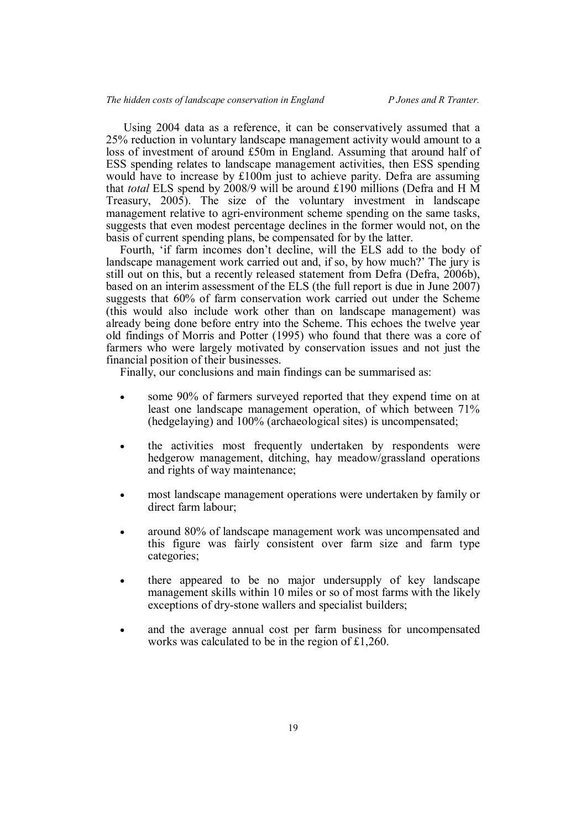Using 2004 data as a reference, it can be conservatively assumed that a 25% reduction in voluntary landscape management activity would amount to a loss of investment of around £50m in England. Assuming that around half of ESS spending relates to landscape management activities, then ESS spending would have to increase by £100m just to achieve parity. Defra are assuming that *total* ELS spend by 2008/9 will be around £190 millions (Defra and H M Treasury, 2005). The size of the voluntary investment in landscape management relative to agri-environment scheme spending on the same tasks, suggests that even modest percentage declines in the former would not, on the basis of current spending plans, be compensated for by the latter.

Fourth, 'if farm incomes don't decline, will the ELS add to the body of landscape management work carried out and, if so, by how much?' The jury is still out on this, but a recently released statement from Defra (Defra, 2006b), based on an interim assessment of the ELS (the full report is due in June 2007) suggests that 60% of farm conservation work carried out under the Scheme (this would also include work other than on landscape management) was already being done before entry into the Scheme. This echoes the twelve year old findings of Morris and Potter (1995) who found that there was a core of farmers who were largely motivated by conservation issues and not just the financial position of their businesses.

Finally, our conclusions and main findings can be summarised as:

- some 90% of farmers surveyed reported that they expend time on at least one landscape management operation, of which between 71% (hedgelaying) and 100% (archaeological sites) is uncompensated;
- the activities most frequently undertaken by respondents were hedgerow management, ditching, hay meadow/grassland operations and rights of way maintenance;
- most landscape management operations were undertaken by family or direct farm labour;
- around 80% of landscape management work was uncompensated and this figure was fairly consistent over farm size and farm type categories;
- there appeared to be no major undersupply of key landscape management skills within 10 miles or so of most farms with the likely exceptions of dry-stone wallers and specialist builders;
- and the average annual cost per farm business for uncompensated works was calculated to be in the region of £1,260.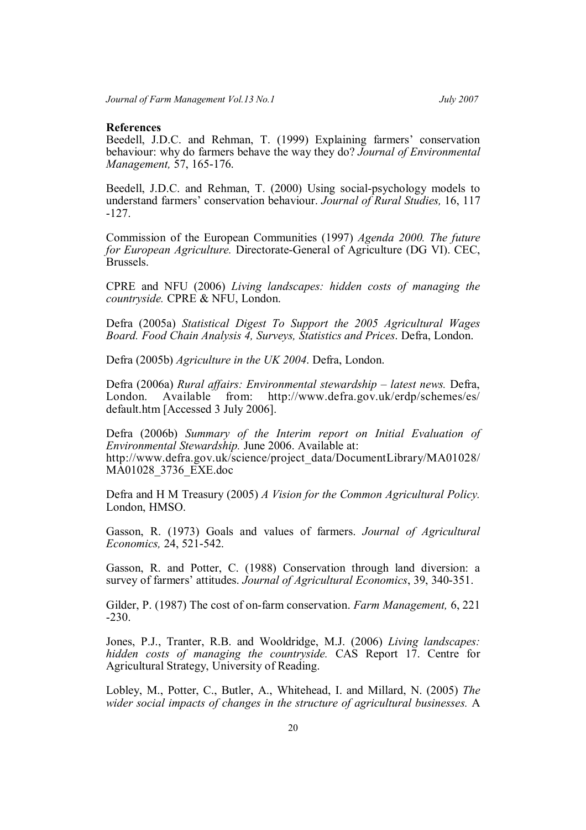#### **References**

Beedell, J.D.C. and Rehman, T. (1999) Explaining farmers' conservation behaviour: why do farmers behave the way they do? *Journal of Environmental Management,* 57, 165-176.

Beedell, J.D.C. and Rehman, T. (2000) Using social-psychology models to understand farmers' conservation behaviour. *Journal of Rural Studies,* 16, 117 -127.

Commission of the European Communities (1997) *Agenda 2000. The future for European Agriculture.* Directorate-General of Agriculture (DG VI). CEC, Brussels.

CPRE and NFU (2006) *Living landscapes: hidden costs of managing the countryside.* CPRE & NFU, London.

Defra (2005a) *Statistical Digest To Support the 2005 Agricultural Wages Board. Food Chain Analysis 4, Surveys, Statistics and Prices*. Defra, London.

Defra (2005b) *Agriculture in the UK 2004*. Defra, London.

Defra (2006a) *Rural affairs: Environmental stewardship – latest news.* Defra, London. Available from: http://www.defra.gov.uk/erdp/schemes/es/ default.htm [Accessed 3 July 2006].

Defra (2006b) *Summary of the Interim report on Initial Evaluation of Environmental Stewardship.* June 2006. Available at: http://www.defra.gov.uk/science/project\_data/DocumentLibrary/MA01028/ MA01028\_3736\_EXE.doc

Defra and H M Treasury (2005) *A Vision for the Common Agricultural Policy.* London, HMSO.

Gasson, R. (1973) Goals and values of farmers. *Journal of Agricultural Economics,* 24, 521-542.

Gasson, R. and Potter, C. (1988) Conservation through land diversion: a survey of farmers' attitudes. *Journal of Agricultural Economics*, 39, 340-351.

Gilder, P. (1987) The cost of on-farm conservation. *Farm Management,* 6, 221 -230.

Jones, P.J., Tranter, R.B. and Wooldridge, M.J. (2006) *Living landscapes: hidden costs of managing the countryside.* CAS Report 17. Centre for Agricultural Strategy, University of Reading.

Lobley, M., Potter, C., Butler, A., Whitehead, I. and Millard, N. (2005) *The wider social impacts of changes in the structure of agricultural businesses.* A